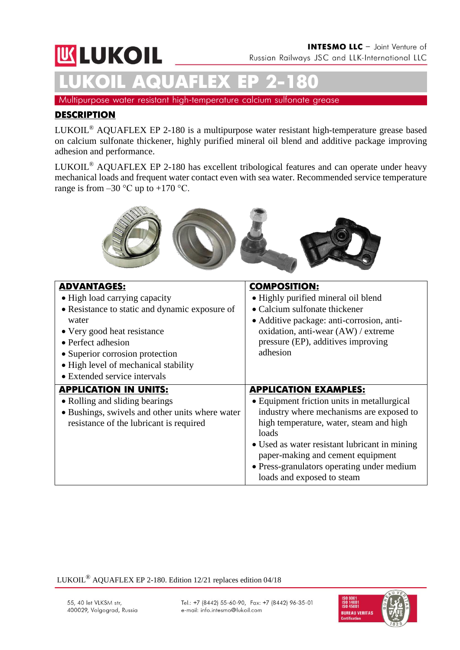# **INTESMO LLC** - Joint Venture of **WLUKOIL** Russian Railways JSC and LLK-International LLC **LUKOIL AQUAFLEX ЕР 2-180**

Multipurpose water resistant high-temperature calcium sulfonate grease

## **DESCRIPTION**

LUKOIL® AQUAFLEX ЕР 2-180 is a multipurpose water resistant high-temperature grease based on calcium sulfonate thickener, highly purified mineral oil blend and additive package improving adhesion and performance.

LUKOIL® AQUAFLEX ЕР 2-180 has excellent tribological features and can operate under heavy mechanical loads and frequent water contact even with sea water. Recommended service temperature range is from  $-30$  °C up to  $+170$  °C.



| <b>ADVANTAGES:</b><br>• High load carrying capacity<br>• Resistance to static and dynamic exposure of<br>water<br>• Very good heat resistance<br>• Perfect adhesion<br>• Superior corrosion protection<br>• High level of mechanical stability<br>• Extended service intervals | <b>COMPOSITION:</b><br>• Highly purified mineral oil blend<br>• Calcium sulfonate thickener<br>• Additive package: anti-corrosion, anti-<br>oxidation, anti-wear (AW) / extreme<br>pressure (EP), additives improving<br>adhesion                                                                                                             |
|--------------------------------------------------------------------------------------------------------------------------------------------------------------------------------------------------------------------------------------------------------------------------------|-----------------------------------------------------------------------------------------------------------------------------------------------------------------------------------------------------------------------------------------------------------------------------------------------------------------------------------------------|
| <b>APPLICATION IN UNITS:</b><br>• Rolling and sliding bearings<br>• Bushings, swivels and other units where water<br>resistance of the lubricant is required                                                                                                                   | <b>APPLICATION EXAMPLES:</b><br>• Equipment friction units in metallurgical<br>industry where mechanisms are exposed to<br>high temperature, water, steam and high<br>loads<br>• Used as water resistant lubricant in mining<br>paper-making and cement equipment<br>• Press-granulators operating under medium<br>loads and exposed to steam |

LUKOIL® AQUAFLEX EP 2-180. Edition 12/21 replaces edition 04/18